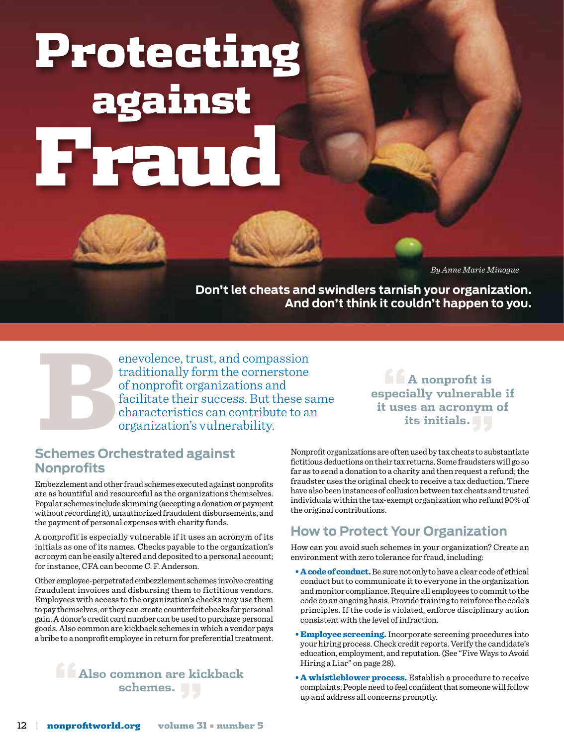# Protecting against Fraud

*By Anne Marie Minogue*

**Don't let cheats and swindlers tarnish your organization. And don't think it couldn't happen to you.**

enevolence, trust, and compassion<br>traditionally form the cornerstone<br>of nonprofit organizations and<br>facilitate their success. But these s<br>characteristics can contribute to a<br>organization's vulnerability.<br>Schemes Orchestrat traditionally form the cornerstone of nonprofit organizations and facilitate their success. But these same characteristics can contribute to an organization's vulnerability.

**"A nonprofit is especially vulnerable if it uses an acronym of its initials."**

#### **Schemes Orchestrated against Nonprofits**

Embezzlement and other fraud schemes executed against nonprofits are as bountiful and resourceful as the organizations themselves. Popular schemes include skimming (accepting a donation or payment without recording it), unauthorized fraudulent disbursements, and the payment of personal expenses with charity funds.

A nonprofit is especially vulnerable if it uses an acronym of its initials as one of its names. Checks payable to the organization's acronym can be easily altered and deposited to a personal account; for instance, CFA can become C. F. Anderson.

Other employee-perpetrated embezzlement schemes involve creating fraudulent invoices and disbursing them to fictitious vendors. Employees with access to the organization's checks may use them to pay themselves, or they can create counterfeit checks for personal gain. A donor's credit card number can be used to purchase personal goods. Also common are kickback schemes in which a vendor pays a bribe to a nonprofit employee in return for preferential treatment.

#### **"Also common are kickback schemes. "**

Nonprofit organizations are often used by tax cheats to substantiate fictitious deductions on their tax returns. Some fraudsters will go so far as to send a donation to a charity and then request a refund; the fraudster uses the original check to receive a tax deduction. There have also been instances of collusion between tax cheats and trusted individuals within the tax-exempt organization who refund 90% of the original contributions.

#### **How to Protect Your Organization**

How can you avoid such schemes in your organization? Create an environment with zero tolerance for fraud, including:

- A code of conduct. Be sure not only to have a clear code of ethical conduct but to communicate it to everyone in the organization and monitor compliance. Require all employees to commit to the code on an ongoing basis. Provide training to reinforce the code's principles. If the code is violated, enforce disciplinary action consistent with the level of infraction.
- **Employee screening.** Incorporate screening procedures into your hiring process. Check credit reports. Verify the candidate's education, employment, and reputation. (See "Five Ways to Avoid Hiring a Liar" on page 28).
- A whistleblower process. Establish a procedure to receive complaints. People need to feel confident that someone will follow up and address all concerns promptly.